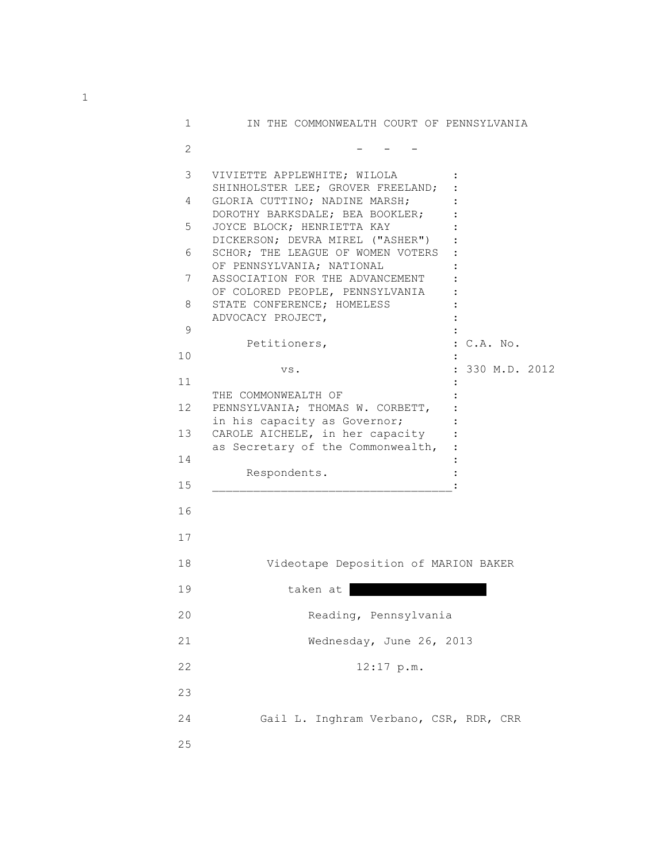| 1               | IN THE COMMONWEALTH COURT OF PENNSYLVANIA                                                            |                 |
|-----------------|------------------------------------------------------------------------------------------------------|-----------------|
| 2               |                                                                                                      |                 |
| 3               | VIVIETTE APPLEWHITE; WILOLA<br>SHINHOLSTER LEE; GROVER FREELAND;                                     |                 |
| 4               | GLORIA CUTTINO; NADINE MARSH;<br>DOROTHY BARKSDALE; BEA BOOKLER;                                     |                 |
| 5               | JOYCE BLOCK; HENRIETTA KAY<br>DICKERSON; DEVRA MIREL ("ASHER")                                       |                 |
| 6               | SCHOR; THE LEAGUE OF WOMEN VOTERS<br>OF PENNSYLVANIA; NATIONAL                                       |                 |
| 7               | ASSOCIATION FOR THE ADVANCEMENT<br>OF COLORED PEOPLE, PENNSYLVANIA                                   |                 |
| 8               | STATE CONFERENCE; HOMELESS<br>ADVOCACY PROJECT,                                                      |                 |
| 9               |                                                                                                      |                 |
| 10              | Petitioners,                                                                                         | : C.A. No.      |
|                 | VS.                                                                                                  | : 330 M.D. 2012 |
| 11              | THE COMMONWEALTH OF                                                                                  |                 |
| 12 <sup>°</sup> | PENNSYLVANIA; THOMAS W. CORBETT,                                                                     |                 |
| 13              | in his capacity as Governor;<br>CAROLE AICHELE, in her capacity<br>as Secretary of the Commonwealth, |                 |
| 14              |                                                                                                      |                 |
| 15              | Respondents.                                                                                         |                 |
| 16              |                                                                                                      |                 |
| 17              |                                                                                                      |                 |
| 18              | Videotape Deposition of MARION BAKER                                                                 |                 |
| 19              | taken at                                                                                             |                 |
| 20              | Reading, Pennsylvania                                                                                |                 |
| 21              | Wednesday, June 26, 2013                                                                             |                 |
| 22              | $12:17$ p.m.                                                                                         |                 |
| 23              |                                                                                                      |                 |
| 24              | Gail L. Inghram Verbano, CSR, RDR, CRR                                                               |                 |
| 25              |                                                                                                      |                 |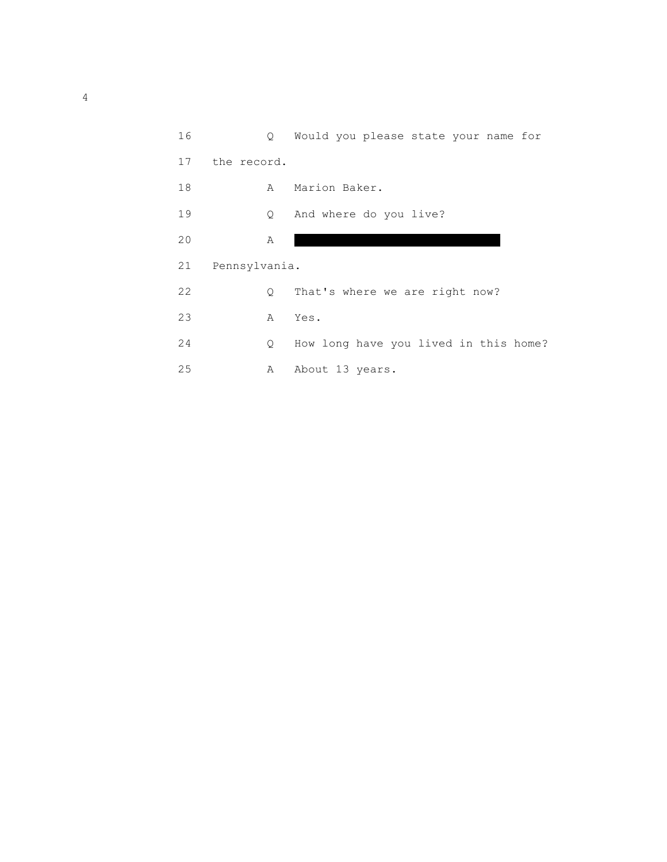| 16 |               | Q Would you please state your name for |
|----|---------------|----------------------------------------|
| 17 | the record.   |                                        |
| 18 | A             | Marion Baker.                          |
| 19 | Q.            | And where do you live?                 |
| 20 | Α             |                                        |
| 21 | Pennsylvania. |                                        |
| 22 | $\mathsf{Q}$  | That's where we are right now?         |
| 23 | Α             | Yes.                                   |
| 24 | Q.            | How long have you lived in this home?  |
| 25 | А             | About 13 years.                        |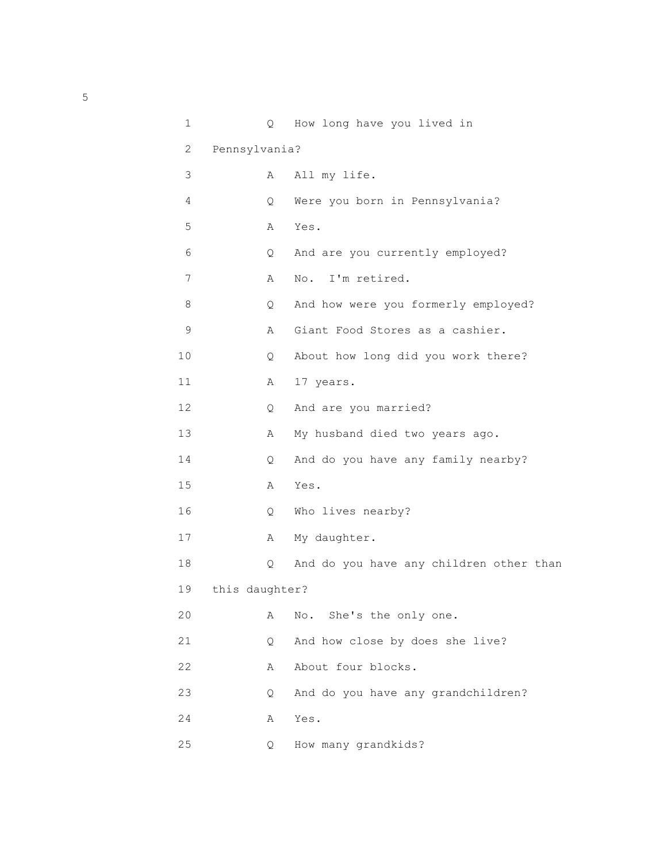| $\mathbf 1$ | Q              | How long have you lived in              |
|-------------|----------------|-----------------------------------------|
| 2           | Pennsylvania?  |                                         |
| 3           | Α              | All my life.                            |
| 4           | Q              | Were you born in Pennsylvania?          |
| 5           | Α              | Yes.                                    |
| 6           | Q              | And are you currently employed?         |
| 7           | Α              | No. I'm retired.                        |
| 8           | Q.             | And how were you formerly employed?     |
| $\mathsf 9$ | Α              | Giant Food Stores as a cashier.         |
| 10          | Q              | About how long did you work there?      |
| 11          | Α              | 17 years.                               |
| 12          | Q              | And are you married?                    |
| 13          | Α              | My husband died two years ago.          |
| 14          | Q.             | And do you have any family nearby?      |
| 15          | Α              | Yes.                                    |
| 16          | Q              | Who lives nearby?                       |
| 17          | Α              | My daughter.                            |
| 18          | Q              | And do you have any children other than |
| 19          | this daughter? |                                         |
| 20          | Α              | She's the only one.<br>No.              |
| 21          | Q              | And how close by does she live?         |
| 22          | Α              | About four blocks.                      |
| 23          | Q              | And do you have any grandchildren?      |
| 24          | Α              | Yes.                                    |
| 25          | Q              | How many grandkids?                     |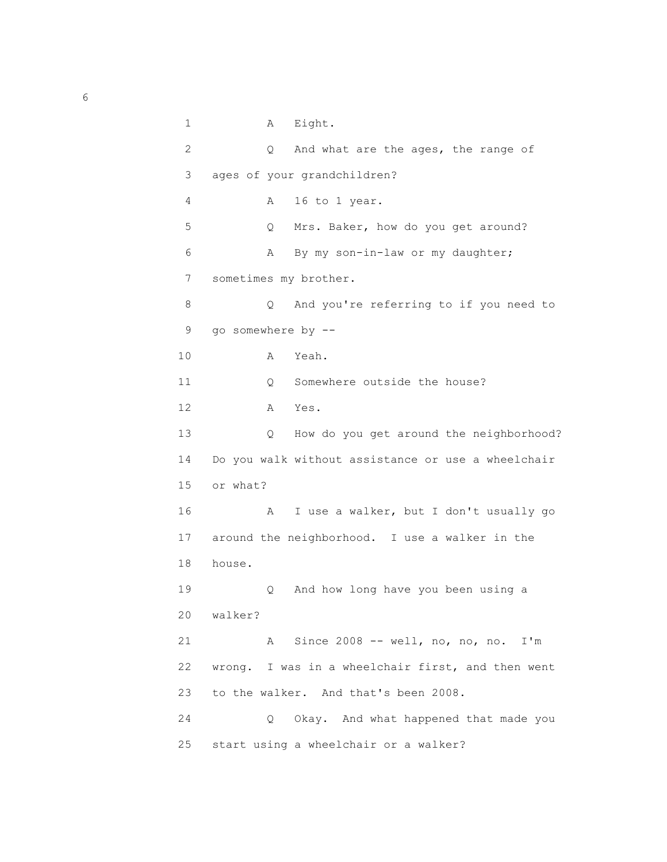1 A Eight. 2 Q And what are the ages, the range of 3 ages of your grandchildren? 4 A 16 to 1 year. 5 Q Mrs. Baker, how do you get around? 6 A By my son-in-law or my daughter; 7 sometimes my brother. 8 Q And you're referring to if you need to 9 go somewhere by -- 10 A Yeah. 11 0 Somewhere outside the house? 12 A Yes. 13 Q How do you get around the neighborhood? 14 Do you walk without assistance or use a wheelchair 15 or what? 16 A I use a walker, but I don't usually go 17 around the neighborhood. I use a walker in the 18 house. 19 Q And how long have you been using a 20 walker? 21 A Since 2008 -- well, no, no, no. I'm 22 wrong. I was in a wheelchair first, and then went 23 to the walker. And that's been 2008. 24 Q Okay. And what happened that made you 25 start using a wheelchair or a walker?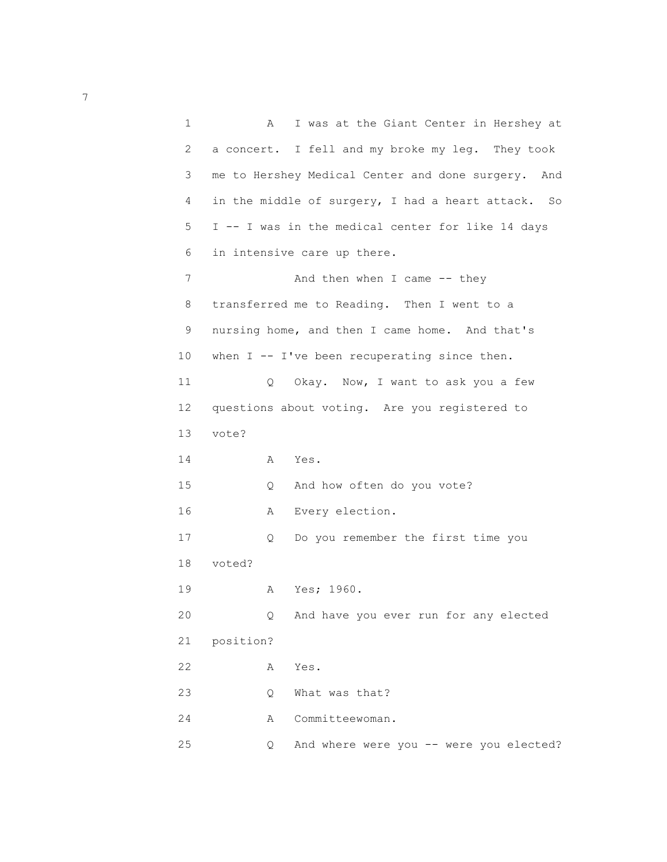1 A I was at the Giant Center in Hershey at 2 a concert. I fell and my broke my leg. They took 3 me to Hershey Medical Center and done surgery. And 4 in the middle of surgery, I had a heart attack. So 5 I -- I was in the medical center for like 14 days 6 in intensive care up there. 7 And then when I came -- they 8 transferred me to Reading. Then I went to a 9 nursing home, and then I came home. And that's 10 when I -- I've been recuperating since then. 11 Q Okay. Now, I want to ask you a few 12 questions about voting. Are you registered to 13 vote? 14 A Yes. 15 Q And how often do you vote? 16 A Every election. 17 Q Do you remember the first time you 18 voted? 19 A Yes; 1960. 20 Q And have you ever run for any elected 21 position? 22 A Yes. 23 Q What was that? 24 A Committeewoman. 25 Q And where were you -- were you elected?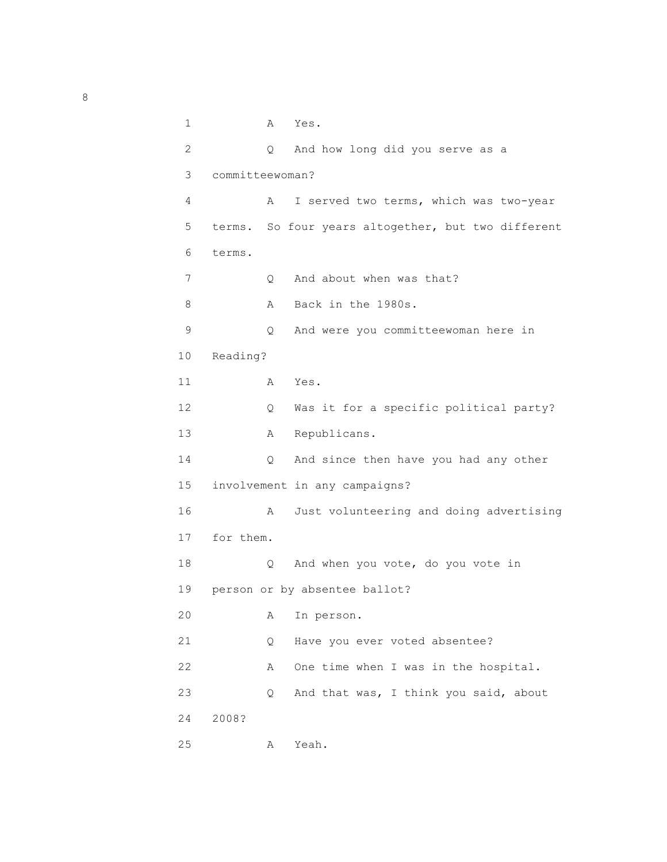1 A Yes. 2 Q And how long did you serve as a 3 committeewoman? 4 A I served two terms, which was two-year 5 terms. So four years altogether, but two different 6 terms. 7 O And about when was that? 8 A Back in the 1980s. 9 Q And were you committeewoman here in 10 Reading? 11 A Yes. 12 Q Was it for a specific political party? 13 A Republicans. 14 Q And since then have you had any other 15 involvement in any campaigns? 16 A Just volunteering and doing advertising 17 for them. 18 Q And when you vote, do you vote in 19 person or by absentee ballot? 20 A In person. 21 Q Have you ever voted absentee? 22 A One time when I was in the hospital. 23 Q And that was, I think you said, about 24 2008? 25 A Yeah.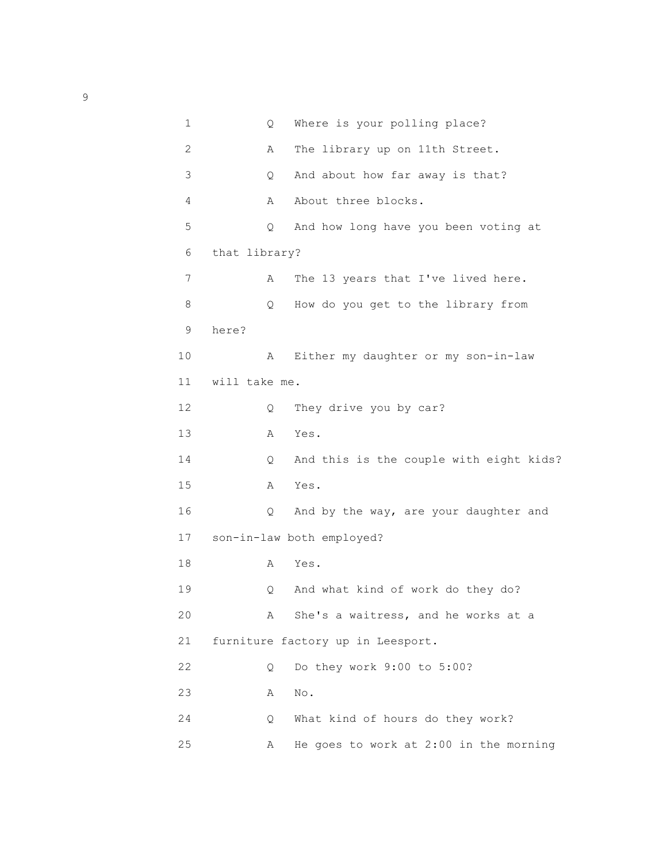| $\mathbf 1$ | Q             | Where is your polling place?            |
|-------------|---------------|-----------------------------------------|
| 2           | Α             | The library up on 11th Street.          |
| 3           | Q             | And about how far away is that?         |
| 4           | Α             | About three blocks.                     |
| 5           | Q             | And how long have you been voting at    |
| 6           | that library? |                                         |
| 7           | Α             | The 13 years that I've lived here.      |
| 8           | Q             | How do you get to the library from      |
| 9           | here?         |                                         |
| 10          | Α             | Either my daughter or my son-in-law     |
| 11          | will take me. |                                         |
| 12          | Q             | They drive you by car?                  |
| 13          | Α             | Yes.                                    |
| 14          | Q             | And this is the couple with eight kids? |
| 15          | Α             | Yes.                                    |
| 16          | Q             | And by the way, are your daughter and   |
| 17          |               | son-in-law both employed?               |
| 18          | Α             | Yes.                                    |
| 19          | Q             | And what kind of work do they do?       |
| 20          | Α             | She's a waitress, and he works at a     |
| 21          |               | furniture factory up in Leesport.       |
| 22          | Q.            | Do they work 9:00 to 5:00?              |
| 23          | Α             | No.                                     |
| 24          | Q.            | What kind of hours do they work?        |
| 25          | A             | He goes to work at 2:00 in the morning  |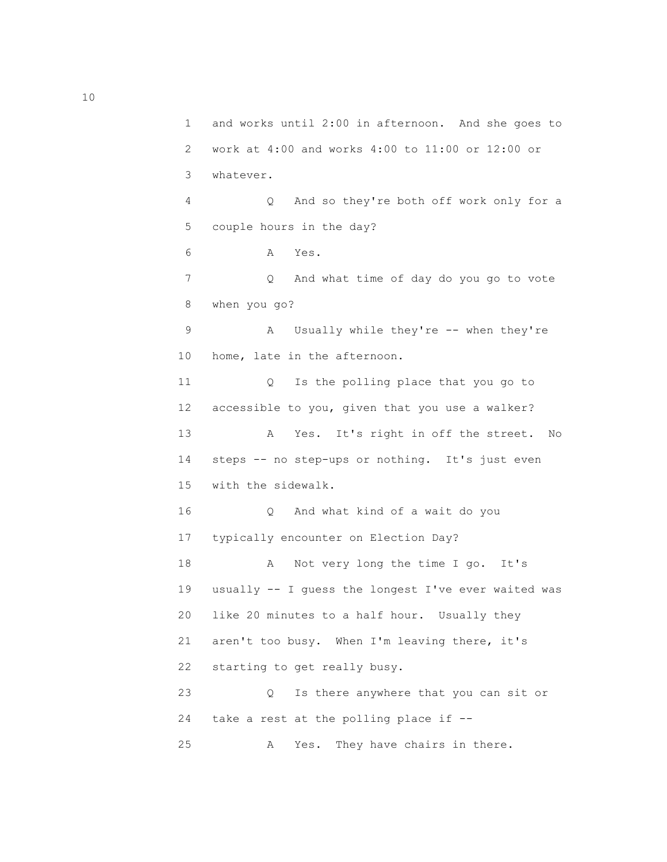1 and works until 2:00 in afternoon. And she goes to 2 work at 4:00 and works 4:00 to 11:00 or 12:00 or 3 whatever. 4 Q And so they're both off work only for a 5 couple hours in the day? 6 A Yes. 7 Q And what time of day do you go to vote 8 when you go? 9 A Usually while they're -- when they're 10 home, late in the afternoon. 11 Q Is the polling place that you go to 12 accessible to you, given that you use a walker? 13 A Yes. It's right in off the street. No 14 steps -- no step-ups or nothing. It's just even 15 with the sidewalk. 16 Q And what kind of a wait do you 17 typically encounter on Election Day? 18 A Not very long the time I go. It's 19 usually -- I guess the longest I've ever waited was 20 like 20 minutes to a half hour. Usually they 21 aren't too busy. When I'm leaving there, it's 22 starting to get really busy. 23 Q Is there anywhere that you can sit or 24 take a rest at the polling place if -- 25 A Yes. They have chairs in there.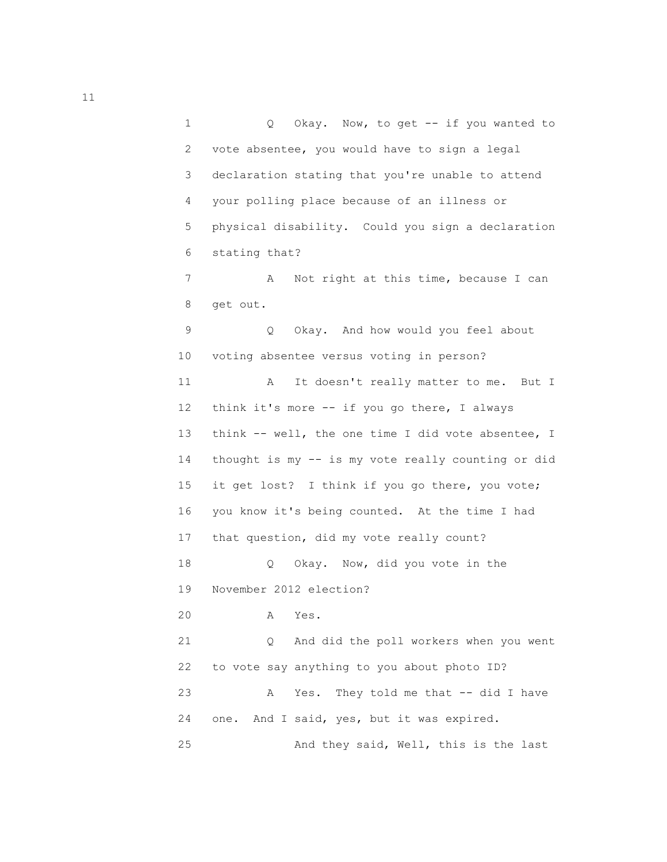1 Q Okay. Now, to get -- if you wanted to 2 vote absentee, you would have to sign a legal 3 declaration stating that you're unable to attend 4 your polling place because of an illness or 5 physical disability. Could you sign a declaration 6 stating that? 7 A Not right at this time, because I can 8 get out. 9 Q Okay. And how would you feel about 10 voting absentee versus voting in person? 11 A It doesn't really matter to me. But I 12 think it's more -- if you go there, I always 13 think -- well, the one time I did vote absentee, I 14 thought is my -- is my vote really counting or did 15 it get lost? I think if you go there, you vote; 16 you know it's being counted. At the time I had 17 that question, did my vote really count? 18 Q Okay. Now, did you vote in the 19 November 2012 election? 20 A Yes. 21 Q And did the poll workers when you went

> 23 A Yes. They told me that -- did I have 24 one. And I said, yes, but it was expired. 25 And they said, Well, this is the last

22 to vote say anything to you about photo ID?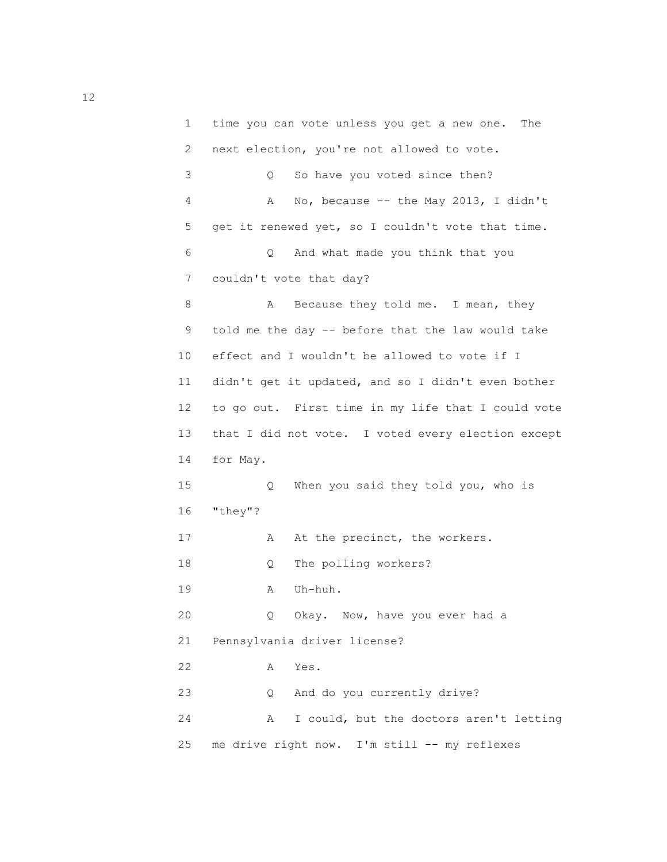1 time you can vote unless you get a new one. The 2 next election, you're not allowed to vote. 3 Q So have you voted since then? 4 A No, because -- the May 2013, I didn't 5 get it renewed yet, so I couldn't vote that time. 6 Q And what made you think that you 7 couldn't vote that day? 8 A Because they told me. I mean, they 9 told me the day -- before that the law would take 10 effect and I wouldn't be allowed to vote if I 11 didn't get it updated, and so I didn't even bother 12 to go out. First time in my life that I could vote 13 that I did not vote. I voted every election except 14 for May. 15 Q When you said they told you, who is 16 "they"? 17 A At the precinct, the workers. 18 Q The polling workers? 19 A Uh-huh. 20 Q Okay. Now, have you ever had a 21 Pennsylvania driver license? 22 A Yes. 23 Q And do you currently drive? 24 A I could, but the doctors aren't letting 25 me drive right now. I'm still -- my reflexes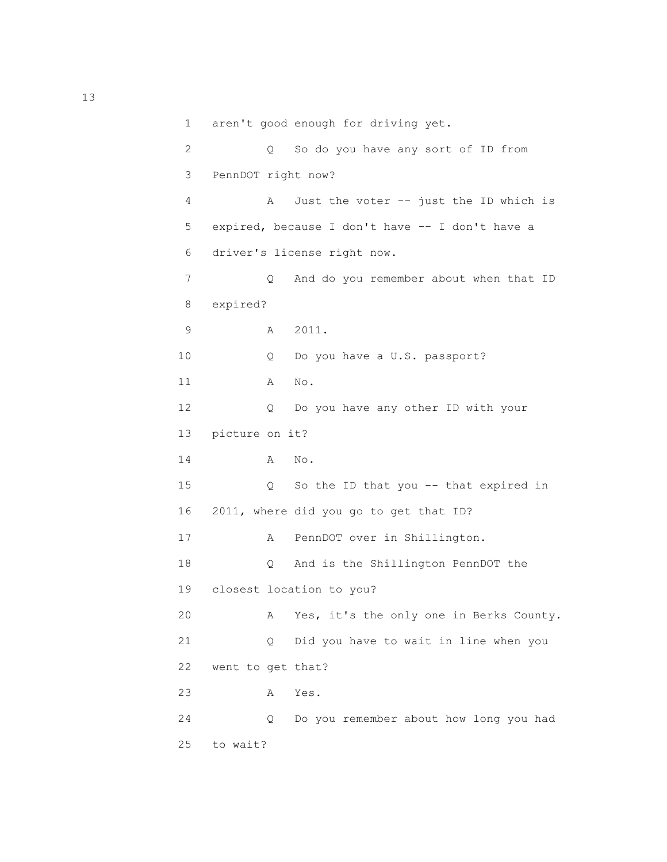```
 1 aren't good enough for driving yet.
 2 Q So do you have any sort of ID from
 3 PennDOT right now?
 4 A Just the voter -- just the ID which is
 5 expired, because I don't have -- I don't have a
 6 driver's license right now.
7 Q And do you remember about when that ID
 8 expired?
 9 A 2011.
 10 Q Do you have a U.S. passport?
 11 A No.
 12 Q Do you have any other ID with your
 13 picture on it?
 14 A No.
 15 Q So the ID that you -- that expired in
 16 2011, where did you go to get that ID?
 17 A PennDOT over in Shillington.
 18 Q And is the Shillington PennDOT the
 19 closest location to you?
 20 A Yes, it's the only one in Berks County.
 21 Q Did you have to wait in line when you
 22 went to get that?
 23 A Yes.
 24 Q Do you remember about how long you had
 25 to wait?
```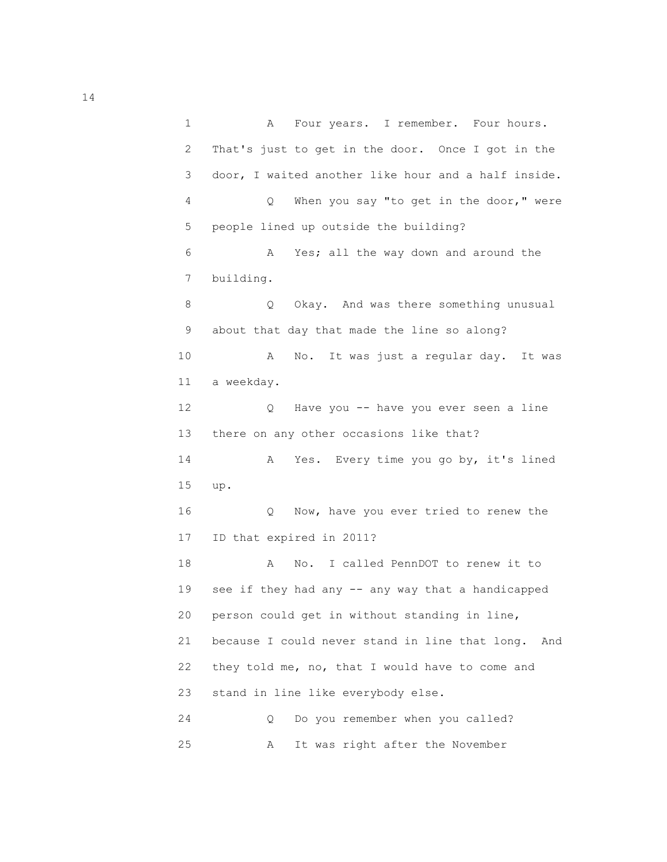1 A Four years. I remember. Four hours. 2 That's just to get in the door. Once I got in the 3 door, I waited another like hour and a half inside. 4 Q When you say "to get in the door," were 5 people lined up outside the building? 6 A Yes; all the way down and around the 7 building. 8 Q Okay. And was there something unusual 9 about that day that made the line so along? 10 A No. It was just a regular day. It was 11 a weekday. 12 Q Have you -- have you ever seen a line 13 there on any other occasions like that? 14 A Yes. Every time you go by, it's lined 15 up. 16 Q Now, have you ever tried to renew the 17 ID that expired in 2011? 18 A No. I called PennDOT to renew it to 19 see if they had any -- any way that a handicapped 20 person could get in without standing in line, 21 because I could never stand in line that long. And 22 they told me, no, that I would have to come and 23 stand in line like everybody else. 24 Q Do you remember when you called? 25 A It was right after the November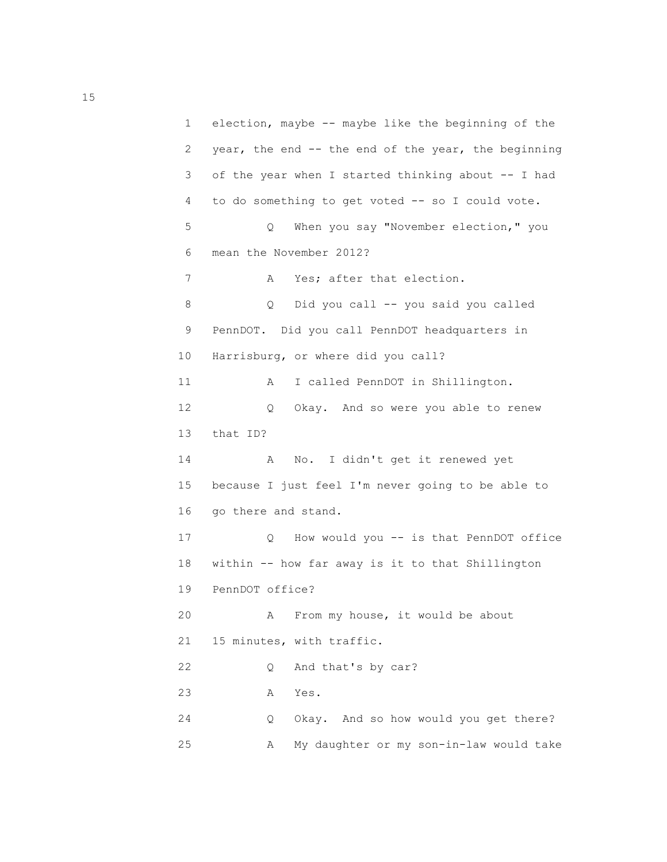1 election, maybe -- maybe like the beginning of the 2 year, the end -- the end of the year, the beginning 3 of the year when I started thinking about -- I had 4 to do something to get voted -- so I could vote. 5 Q When you say "November election," you 6 mean the November 2012? 7 A Yes; after that election. 8 Q Did you call -- you said you called 9 PennDOT. Did you call PennDOT headquarters in 10 Harrisburg, or where did you call? 11 A I called PennDOT in Shillington. 12 Q Okay. And so were you able to renew 13 that ID? 14 A No. I didn't get it renewed yet 15 because I just feel I'm never going to be able to 16 go there and stand. 17 Q How would you -- is that PennDOT office 18 within -- how far away is it to that Shillington 19 PennDOT office? 20 A From my house, it would be about 21 15 minutes, with traffic. 22 Q And that's by car? 23 A Yes. 24 Q Okay. And so how would you get there? 25 A My daughter or my son-in-law would take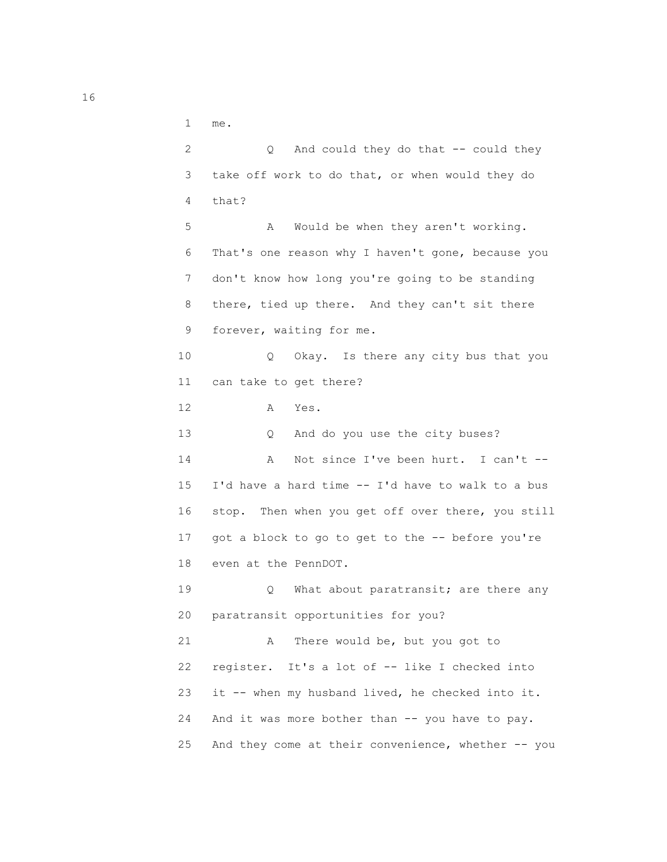1 me.

 2 Q And could they do that -- could they 3 take off work to do that, or when would they do 4 that? 5 A Would be when they aren't working. 6 That's one reason why I haven't gone, because you 7 don't know how long you're going to be standing 8 there, tied up there. And they can't sit there 9 forever, waiting for me. 10 Q Okay. Is there any city bus that you 11 can take to get there? 12 A Yes. 13 Q And do you use the city buses? 14 A Not since I've been hurt. I can't -- 15 I'd have a hard time -- I'd have to walk to a bus 16 stop. Then when you get off over there, you still 17 got a block to go to get to the -- before you're 18 even at the PennDOT. 19 Q What about paratransit; are there any 20 paratransit opportunities for you? 21 A There would be, but you got to 22 register. It's a lot of -- like I checked into 23 it -- when my husband lived, he checked into it. 24 And it was more bother than -- you have to pay. 25 And they come at their convenience, whether -- you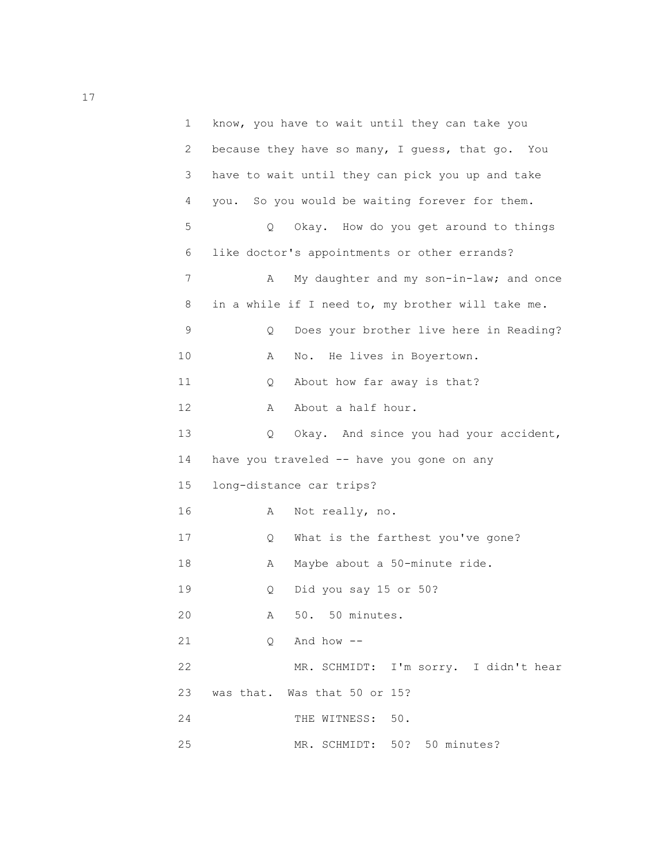| 1  | know, you have to wait until they can take you    |
|----|---------------------------------------------------|
| 2  | because they have so many, I guess, that go. You  |
| 3  | have to wait until they can pick you up and take  |
| 4  | you. So you would be waiting forever for them.    |
| 5  | Okay. How do you get around to things<br>Q.       |
| 6  | like doctor's appointments or other errands?      |
| 7  | My daughter and my son-in-law; and once<br>Α      |
| 8  | in a while if I need to, my brother will take me. |
| 9  | Does your brother live here in Reading?<br>Q      |
| 10 | He lives in Boyertown.<br>Α<br>No.                |
| 11 | About how far away is that?<br>Q                  |
| 12 | About a half hour.<br>Α                           |
| 13 | Okay. And since you had your accident,<br>Q       |
| 14 | have you traveled -- have you gone on any         |
| 15 | long-distance car trips?                          |
| 16 | Not really, no.<br>Α                              |
| 17 | What is the farthest you've gone?<br>Q.           |
| 18 | Maybe about a 50-minute ride.<br>Α                |
| 19 | Did you say 15 or 50?<br>Q                        |
| 20 | 50. 50 minutes.<br>Α                              |
| 21 | And how $--$<br>Q                                 |
| 22 | MR. SCHMIDT: I'm sorry. I didn't hear             |
| 23 | was that. Was that 50 or 15?                      |
| 24 | THE WITNESS:<br>50.                               |
| 25 | MR. SCHMIDT: 50? 50 minutes?                      |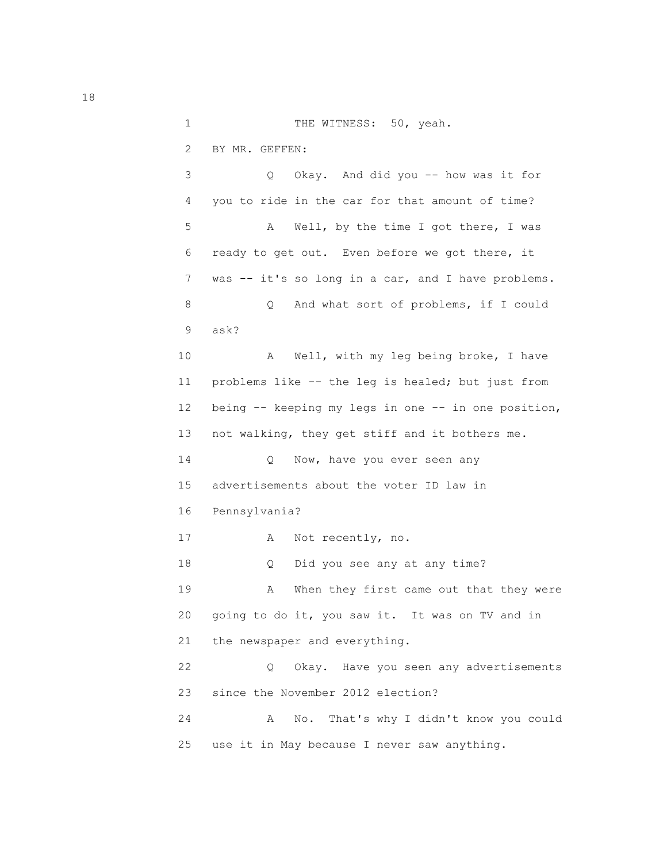1 THE WITNESS: 50, yeah.

2 BY MR. GEFFEN:

 3 Q Okay. And did you -- how was it for 4 you to ride in the car for that amount of time? 5 A Well, by the time I got there, I was 6 ready to get out. Even before we got there, it 7 was -- it's so long in a car, and I have problems. 8 Q And what sort of problems, if I could 9 ask? 10 A Well, with my leg being broke, I have 11 problems like -- the leg is healed; but just from 12 being -- keeping my legs in one -- in one position, 13 not walking, they get stiff and it bothers me. 14 Q Now, have you ever seen any 15 advertisements about the voter ID law in 16 Pennsylvania? 17 A Not recently, no. 18 Q Did you see any at any time? 19 A When they first came out that they were 20 going to do it, you saw it. It was on TV and in 21 the newspaper and everything. 22 Q Okay. Have you seen any advertisements 23 since the November 2012 election? 24 A No. That's why I didn't know you could 25 use it in May because I never saw anything.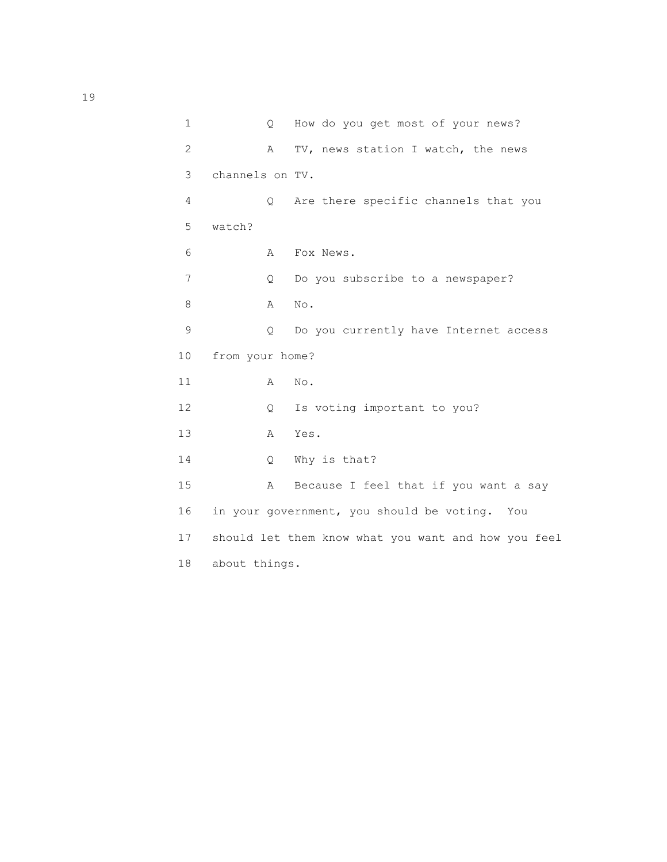| 1  | $\circ$         | How do you get most of your news?                   |
|----|-----------------|-----------------------------------------------------|
| 2  | $\mathbb A$     | TV, news station I watch, the news                  |
| 3  | channels on TV. |                                                     |
| 4  | $\circ$         | Are there specific channels that you                |
| 5  | watch?          |                                                     |
| 6  | A               | Fox News.                                           |
| 7  | Q.              | Do you subscribe to a newspaper?                    |
| 8  | $\mathbb{A}$    | $\mbox{No}$ .                                       |
| 9  | $\circ$         | Do you currently have Internet access               |
| 10 | from your home? |                                                     |
| 11 | Α               | No.                                                 |
| 12 | Q               | Is voting important to you?                         |
| 13 | $\mathbb A$     | Yes.                                                |
| 14 | $\circ$         | Why is that?                                        |
| 15 | $\mathbb{A}$    | Because I feel that if you want a say               |
| 16 |                 | in your government, you should be voting. You       |
| 17 |                 | should let them know what you want and how you feel |
| 18 | about things.   |                                                     |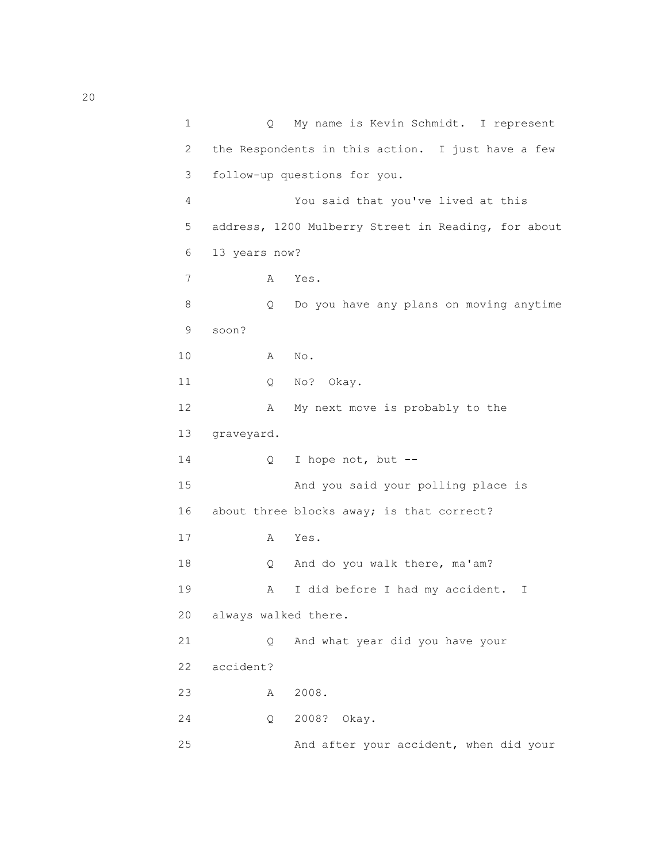1 Q My name is Kevin Schmidt. I represent 2 the Respondents in this action. I just have a few 3 follow-up questions for you. 4 You said that you've lived at this 5 address, 1200 Mulberry Street in Reading, for about 6 13 years now? 7 A Yes. 8 Q Do you have any plans on moving anytime 9 soon? 10 A No. 11 Q No? Okay. 12 A My next move is probably to the 13 graveyard. 14 Q I hope not, but -- 15 And you said your polling place is 16 about three blocks away; is that correct? 17 A Yes. 18 Q And do you walk there, ma'am? 19 A I did before I had my accident. I 20 always walked there. 21 Q And what year did you have your 22 accident? 23 A 2008. 24 Q 2008? Okay. 25 And after your accident, when did your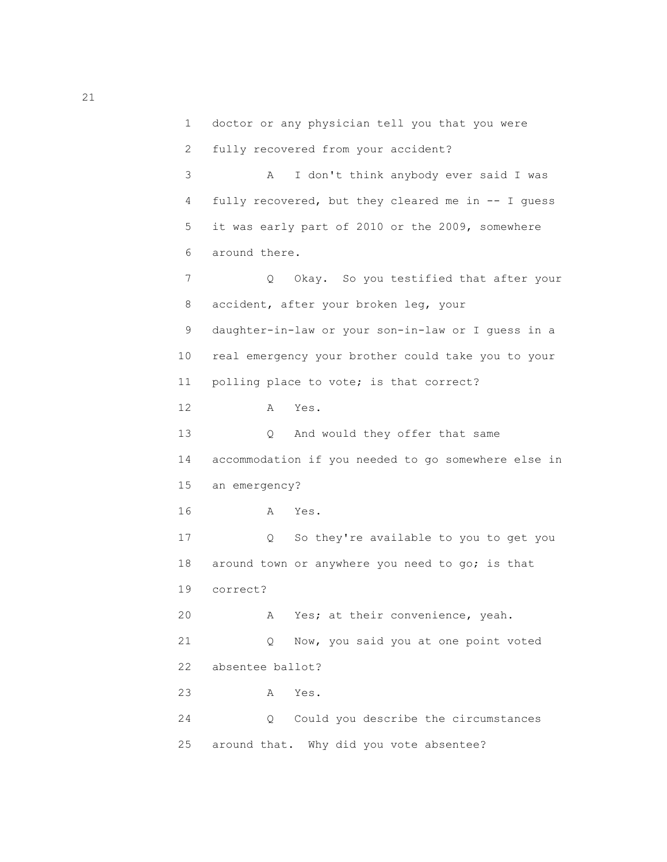```
 1 doctor or any physician tell you that you were
  2 fully recovered from your accident?
  3 A I don't think anybody ever said I was
  4 fully recovered, but they cleared me in -- I guess
  5 it was early part of 2010 or the 2009, somewhere
  6 around there.
 7 Q Okay. So you testified that after your
  8 accident, after your broken leg, your
  9 daughter-in-law or your son-in-law or I guess in a
 10 real emergency your brother could take you to your
 11 polling place to vote; is that correct?
 12 A Yes.
 13 Q And would they offer that same
 14 accommodation if you needed to go somewhere else in
 15 an emergency?
 16 A Yes.
 17 Q So they're available to you to get you
18 around town or anywhere you need to go; is that
 19 correct?
 20 A Yes; at their convenience, yeah.
 21 Q Now, you said you at one point voted
 22 absentee ballot?
 23 A Yes.
 24 Q Could you describe the circumstances
 25 around that. Why did you vote absentee?
```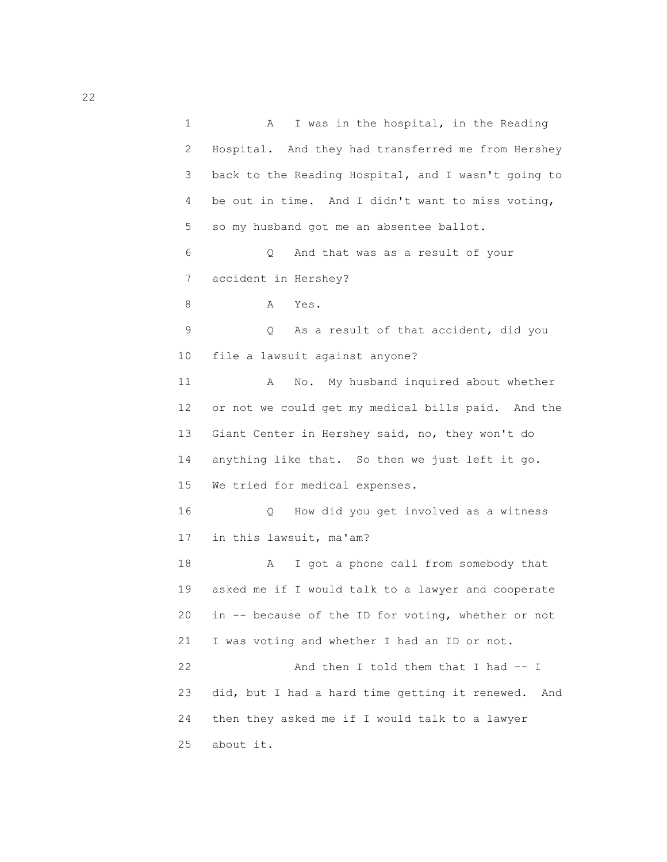1 A I was in the hospital, in the Reading 2 Hospital. And they had transferred me from Hershey 3 back to the Reading Hospital, and I wasn't going to 4 be out in time. And I didn't want to miss voting, 5 so my husband got me an absentee ballot. 6 Q And that was as a result of your 7 accident in Hershey? 8 A Yes. 9 Q As a result of that accident, did you 10 file a lawsuit against anyone? 11 A No. My husband inquired about whether 12 or not we could get my medical bills paid. And the 13 Giant Center in Hershey said, no, they won't do 14 anything like that. So then we just left it go. 15 We tried for medical expenses. 16 Q How did you get involved as a witness 17 in this lawsuit, ma'am? 18 A I got a phone call from somebody that 19 asked me if I would talk to a lawyer and cooperate 20 in -- because of the ID for voting, whether or not 21 I was voting and whether I had an ID or not. 22 And then I told them that I had -- I 23 did, but I had a hard time getting it renewed. And 24 then they asked me if I would talk to a lawyer 25 about it.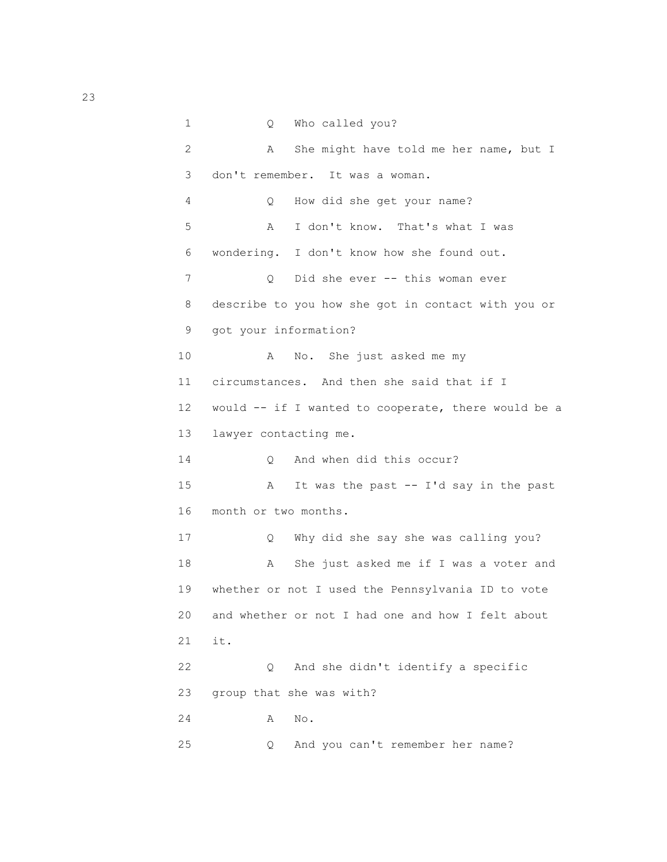1 Q Who called you? 2 A She might have told me her name, but I 3 don't remember. It was a woman. 4 Q How did she get your name? 5 A I don't know. That's what I was 6 wondering. I don't know how she found out. 7 0 Did she ever -- this woman ever 8 describe to you how she got in contact with you or 9 got your information? 10 A No. She just asked me my 11 circumstances. And then she said that if I 12 would -- if I wanted to cooperate, there would be a 13 lawyer contacting me. 14 O And when did this occur? 15 A It was the past -- I'd say in the past 16 month or two months. 17 Q Why did she say she was calling you? 18 A She just asked me if I was a voter and 19 whether or not I used the Pennsylvania ID to vote 20 and whether or not I had one and how I felt about 21 it. 22 Q And she didn't identify a specific 23 group that she was with? 24 A No. 25 Q And you can't remember her name?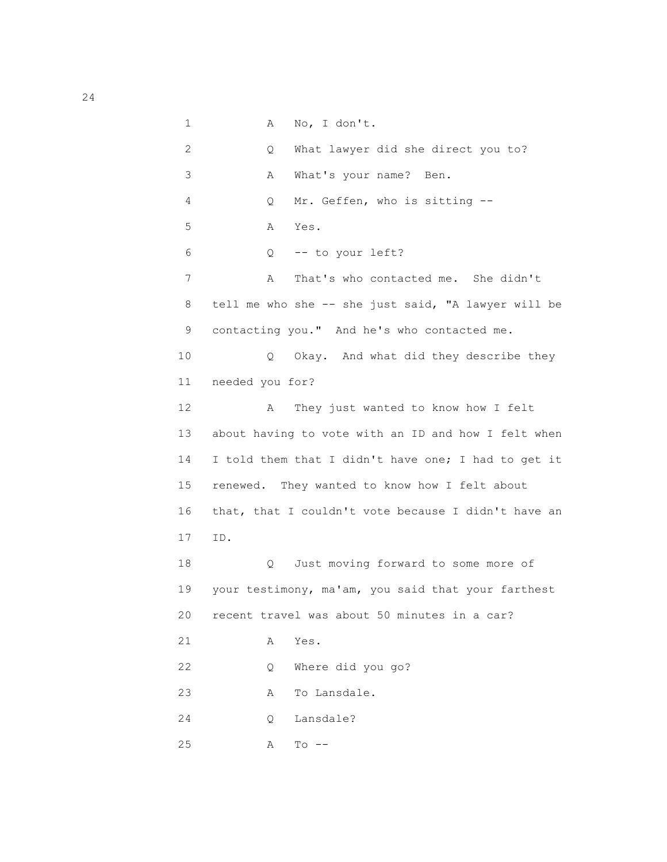```
 1 A No, I don't.
 2 Q What lawyer did she direct you to?
 3 A What's your name? Ben.
 4 Q Mr. Geffen, who is sitting --
 5 A Yes.
 6 Q -- to your left?
7 A That's who contacted me. She didn't
 8 tell me who she -- she just said, "A lawyer will be
 9 contacting you." And he's who contacted me.
 10 Q Okay. And what did they describe they
 11 needed you for?
 12 A They just wanted to know how I felt
 13 about having to vote with an ID and how I felt when
 14 I told them that I didn't have one; I had to get it
 15 renewed. They wanted to know how I felt about
 16 that, that I couldn't vote because I didn't have an
 17 ID.
 18 Q Just moving forward to some more of
 19 your testimony, ma'am, you said that your farthest
 20 recent travel was about 50 minutes in a car?
 21 A Yes.
 22 Q Where did you go?
 23 A To Lansdale.
 24 Q Lansdale?
 25 A To --
```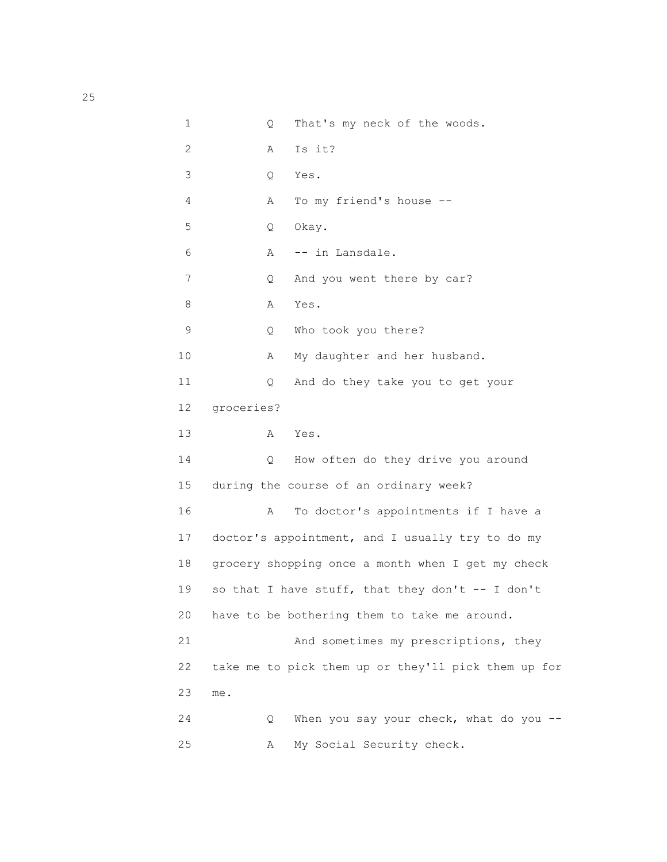```
 1 Q That's my neck of the woods.
            2 A Is it?
            3 Q Yes.
            4 A To my friend's house --
            5 Q Okay.
            6 A -- in Lansdale.
           7 Q And you went there by car?
 8 A Yes.
            9 Q Who took you there?
          10 A My daughter and her husband.
           11 Q And do they take you to get your
           12 groceries?
 13 A Yes.
           14 Q How often do they drive you around
           15 during the course of an ordinary week?
           16 A To doctor's appointments if I have a
           17 doctor's appointment, and I usually try to do my
           18 grocery shopping once a month when I get my check
          19 so that I have stuff, that they don't -- I don't
           20 have to be bothering them to take me around.
           21 And sometimes my prescriptions, they
           22 take me to pick them up or they'll pick them up for
           23 me.
           24 Q When you say your check, what do you --
           25 A My Social Security check.
```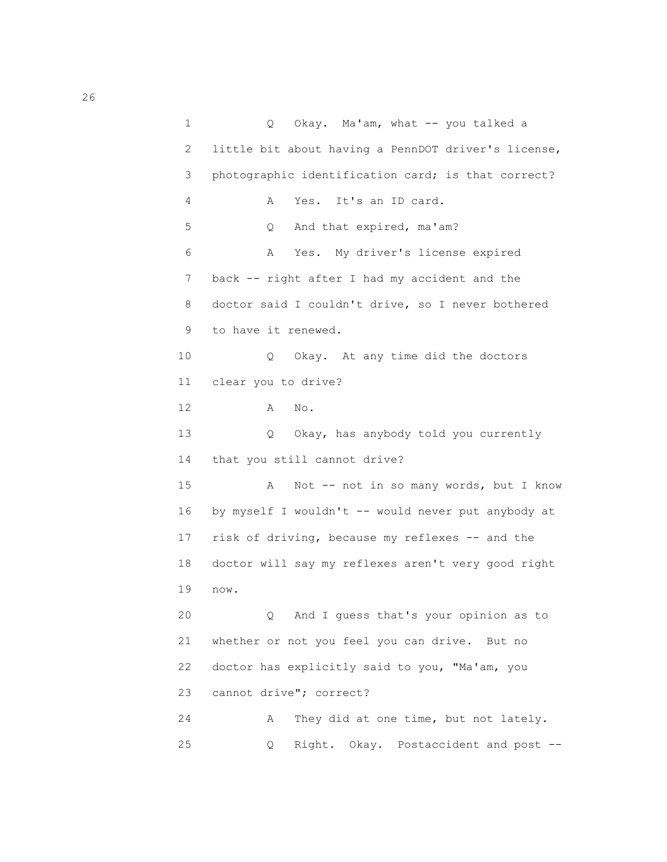1 Q Okay. Ma'am, what -- you talked a 2 little bit about having a PennDOT driver's license, 3 photographic identification card; is that correct? 4 A Yes. It's an ID card. 5 Q And that expired, ma'am? 6 A Yes. My driver's license expired 7 back -- right after I had my accident and the 8 doctor said I couldn't drive, so I never bothered 9 to have it renewed. 10 Q Okay. At any time did the doctors 11 clear you to drive? 12 A No. 13 Q Okay, has anybody told you currently 14 that you still cannot drive? 15 A Not -- not in so many words, but I know 16 by myself I wouldn't -- would never put anybody at 17 risk of driving, because my reflexes -- and the 18 doctor will say my reflexes aren't very good right 19 now. 20 Q And I guess that's your opinion as to 21 whether or not you feel you can drive. But no 22 doctor has explicitly said to you, "Ma'am, you 23 cannot drive"; correct? 24 A They did at one time, but not lately. 25 Q Right. Okay. Postaccident and post --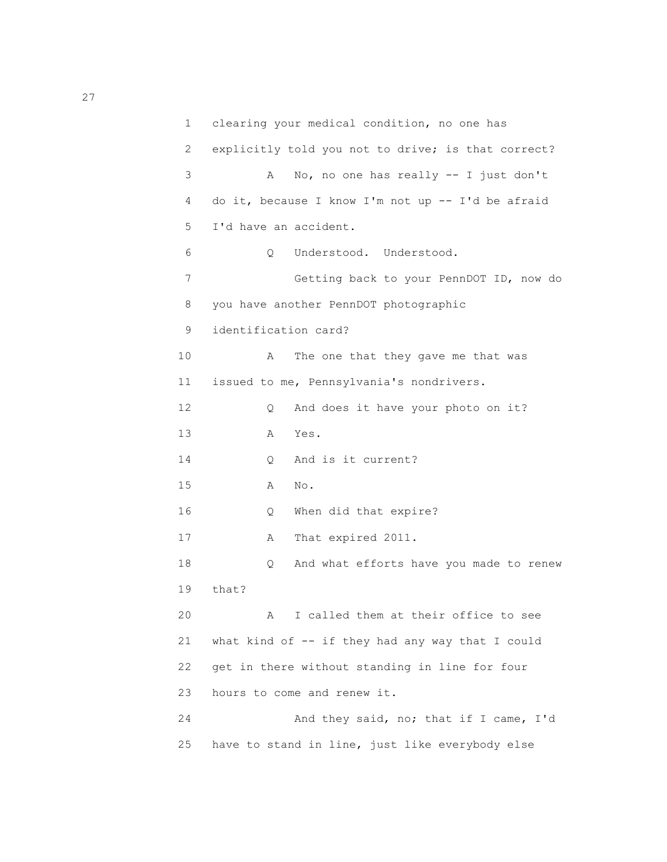```
 1 clearing your medical condition, no one has
 2 explicitly told you not to drive; is that correct?
 3 A No, no one has really -- I just don't
 4 do it, because I know I'm not up -- I'd be afraid
 5 I'd have an accident.
 6 Q Understood. Understood.
 7 Getting back to your PennDOT ID, now do
 8 you have another PennDOT photographic
 9 identification card?
10 A The one that they gave me that was
 11 issued to me, Pennsylvania's nondrivers.
12 Q And does it have your photo on it?
 13 A Yes.
14 0 And is it current?
 15 A No.
 16 Q When did that expire?
17 A That expired 2011.
 18 Q And what efforts have you made to renew
 19 that?
 20 A I called them at their office to see
 21 what kind of -- if they had any way that I could
 22 get in there without standing in line for four
 23 hours to come and renew it.
 24 And they said, no; that if I came, I'd
 25 have to stand in line, just like everybody else
```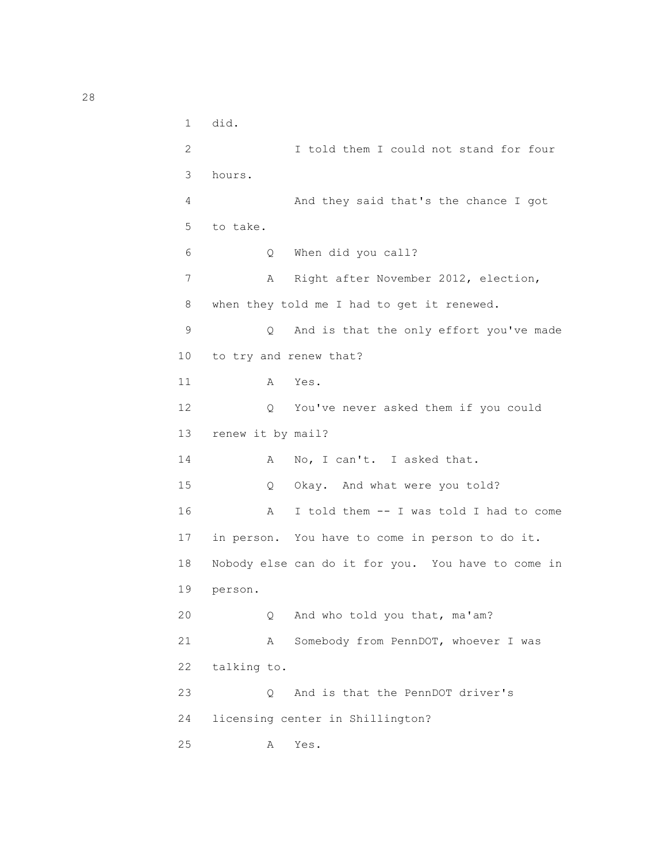```
 1 did.
 2 I told them I could not stand for four
 3 hours.
 4 And they said that's the chance I got
 5 to take.
 6 Q When did you call?
 7 A Right after November 2012, election,
 8 when they told me I had to get it renewed.
 9 Q And is that the only effort you've made
 10 to try and renew that?
 11 A Yes.
 12 Q You've never asked them if you could
 13 renew it by mail?
14 A No, I can't. I asked that.
 15 Q Okay. And what were you told?
 16 A I told them -- I was told I had to come
 17 in person. You have to come in person to do it.
 18 Nobody else can do it for you. You have to come in
 19 person.
 20 Q And who told you that, ma'am?
 21 A Somebody from PennDOT, whoever I was
 22 talking to.
 23 Q And is that the PennDOT driver's
 24 licensing center in Shillington?
 25 A Yes.
```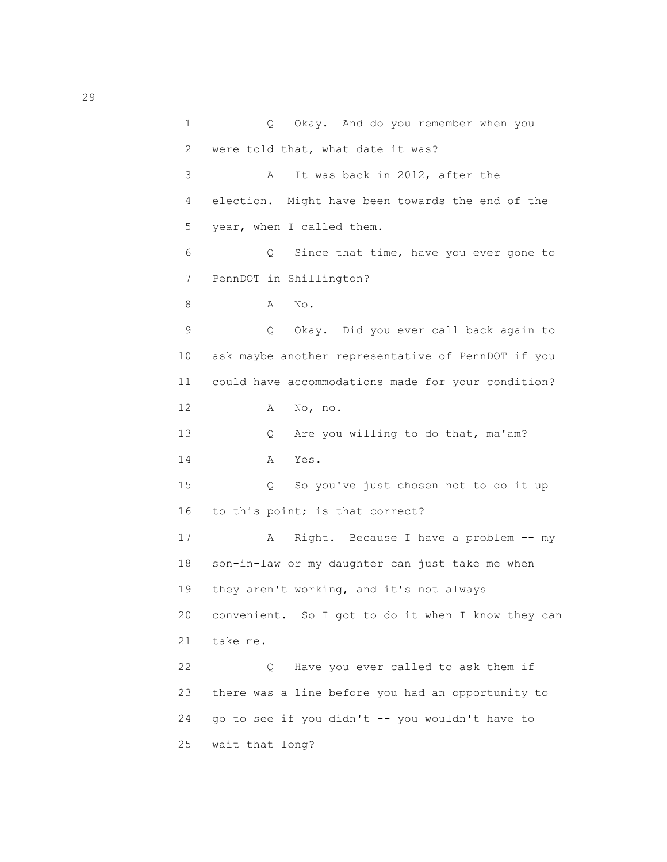1 Q Okay. And do you remember when you 2 were told that, what date it was? 3 A It was back in 2012, after the 4 election. Might have been towards the end of the 5 year, when I called them. 6 Q Since that time, have you ever gone to 7 PennDOT in Shillington? 8 A No. 9 Q Okay. Did you ever call back again to 10 ask maybe another representative of PennDOT if you 11 could have accommodations made for your condition? 12 A No, no. 13 Q Are you willing to do that, ma'am? 14 A Yes. 15 Q So you've just chosen not to do it up 16 to this point; is that correct? 17 A Right. Because I have a problem -- my 18 son-in-law or my daughter can just take me when 19 they aren't working, and it's not always 20 convenient. So I got to do it when I know they can 21 take me. 22 Q Have you ever called to ask them if 23 there was a line before you had an opportunity to 24 go to see if you didn't -- you wouldn't have to 25 wait that long?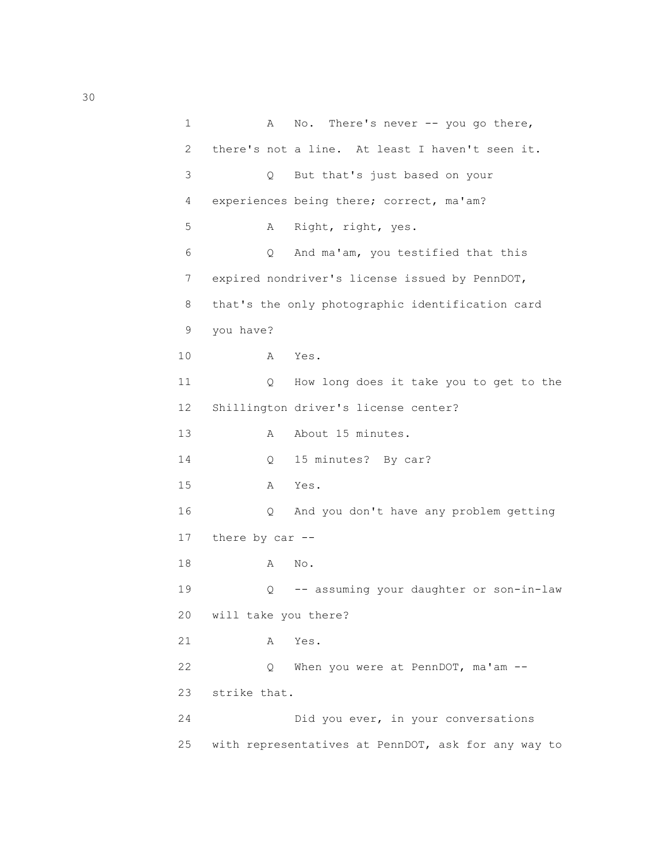1 A No. There's never -- you go there, 2 there's not a line. At least I haven't seen it. 3 Q But that's just based on your 4 experiences being there; correct, ma'am? 5 A Right, right, yes. 6 Q And ma'am, you testified that this 7 expired nondriver's license issued by PennDOT, 8 that's the only photographic identification card 9 you have? 10 A Yes. 11 Q How long does it take you to get to the 12 Shillington driver's license center? 13 A About 15 minutes. 14 Q 15 minutes? By car? 15 A Yes. 16 Q And you don't have any problem getting 17 there by car -- 18 A No. 19 Q -- assuming your daughter or son-in-law 20 will take you there? 21 A Yes. 22 Q When you were at PennDOT, ma'am -- 23 strike that. 24 Did you ever, in your conversations 25 with representatives at PennDOT, ask for any way to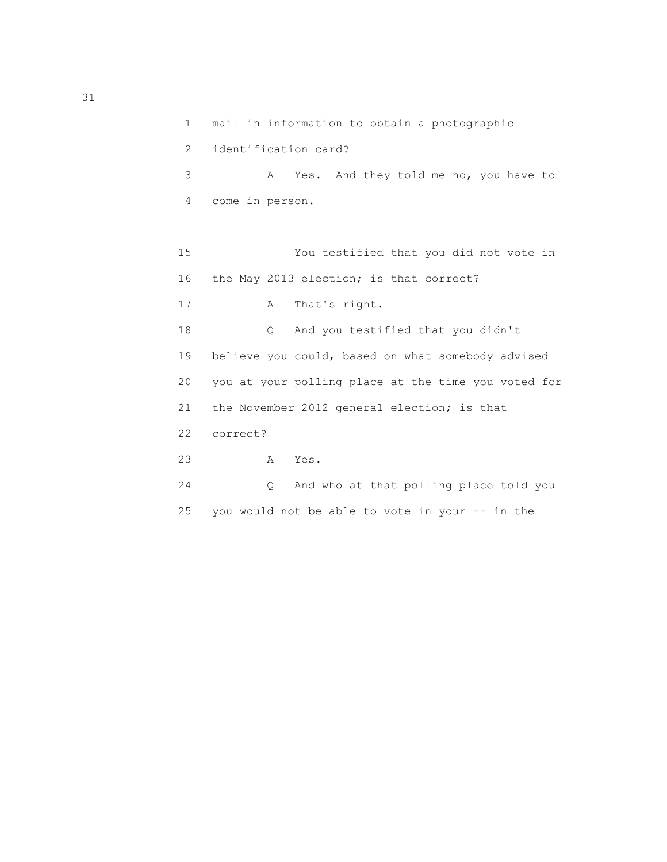| 1              | mail in information to obtain a photographic        |
|----------------|-----------------------------------------------------|
| $\overline{2}$ | identification card?                                |
| 3              | Yes. And they told me no, you have to<br>A          |
| 4              | come in person.                                     |
|                |                                                     |
| 15             | You testified that you did not vote in              |
| 16             | the May 2013 election; is that correct?             |
| 17             | That's right.<br>A                                  |
| 18             | And you testified that you didn't<br>$\circ$        |
| 19             | believe you could, based on what somebody advised   |
| 20             | you at your polling place at the time you voted for |
| 21             | the November 2012 general election; is that         |
| 22             | correct?                                            |
| 23             | Yes.<br>A                                           |
| 24             | And who at that polling place told you<br>$\circ$   |
| 25             | you would not be able to vote in your -- in the     |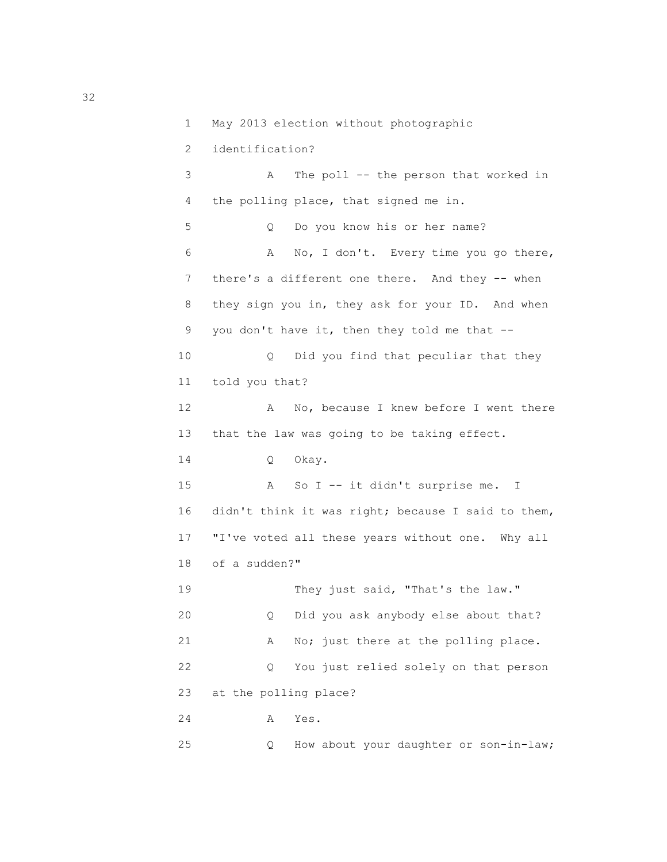```
 1 May 2013 election without photographic
             2 identification?
             3 A The poll -- the person that worked in
             4 the polling place, that signed me in.
             5 Q Do you know his or her name?
             6 A No, I don't. Every time you go there,
            7 there's a different one there. And they -- when
             8 they sign you in, they ask for your ID. And when
             9 you don't have it, then they told me that --
            10 Q Did you find that peculiar that they
            11 told you that?
           12 A No, because I knew before I went there
            13 that the law was going to be taking effect.
           14 O Okay.
            15 A So I -- it didn't surprise me. I
            16 didn't think it was right; because I said to them,
            17 "I've voted all these years without one. Why all
            18 of a sudden?"
           19 They just said, "That's the law."
            20 Q Did you ask anybody else about that?
           21 A No; just there at the polling place.
            22 Q You just relied solely on that person
            23 at the polling place?
 24 A Yes.
            25 Q How about your daughter or son-in-law;
```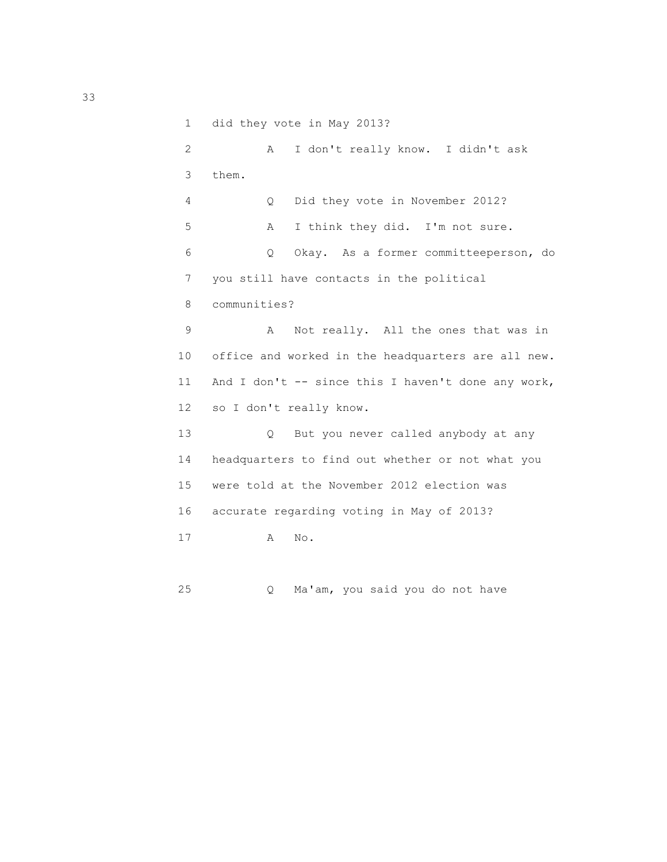1 did they vote in May 2013? 2 A I don't really know. I didn't ask 3 them. 4 Q Did they vote in November 2012? 5 A I think they did. I'm not sure. 6 Q Okay. As a former committeeperson, do 7 you still have contacts in the political 8 communities? 9 A Not really. All the ones that was in 10 office and worked in the headquarters are all new. 11 And I don't -- since this I haven't done any work, 12 so I don't really know. 13 Q But you never called anybody at any 14 headquarters to find out whether or not what you 15 were told at the November 2012 election was 16 accurate regarding voting in May of 2013? 17 A No.

25 Q Ma'am, you said you do not have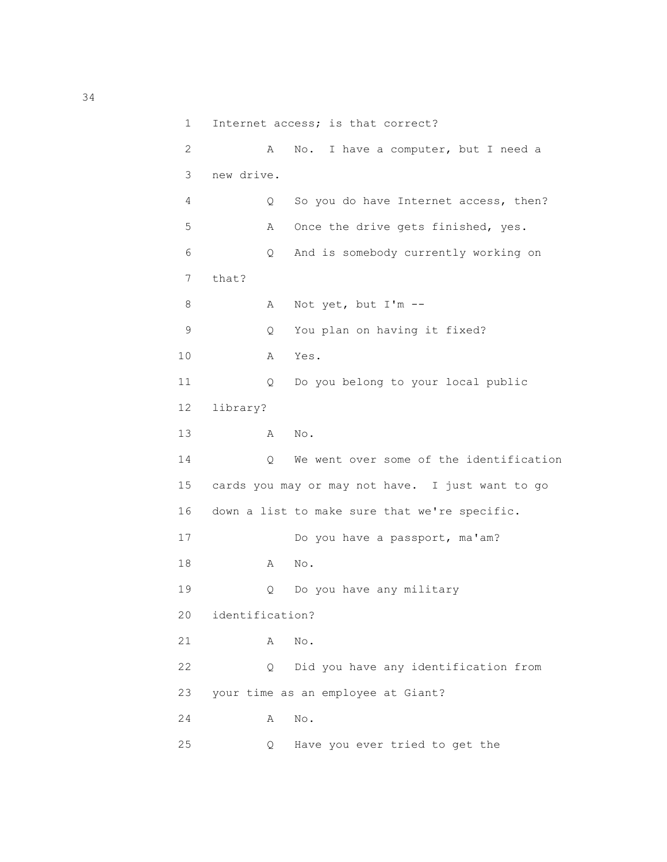```
 1 Internet access; is that correct?
            2 A No. I have a computer, but I need a
            3 new drive.
            4 Q So you do have Internet access, then?
            5 A Once the drive gets finished, yes.
            6 Q And is somebody currently working on
            7 that?
            8 A Not yet, but I'm --
            9 Q You plan on having it fixed?
 10 A Yes.
           11 Q Do you belong to your local public
           12 library?
 13 A No.
          14 O We went over some of the identification
           15 cards you may or may not have. I just want to go
           16 down a list to make sure that we're specific.
           17 Do you have a passport, ma'am?
           18 A No.
           19 Q Do you have any military
           20 identification?
           21 A No.
           22 Q Did you have any identification from
           23 your time as an employee at Giant?
           24 A No.
           25 Q Have you ever tried to get the
```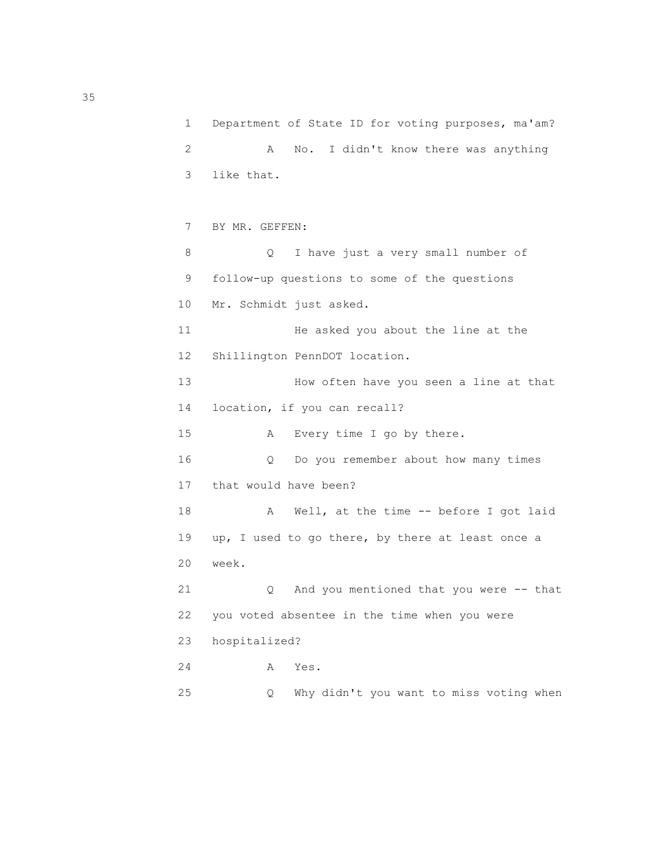1 Department of State ID for voting purposes, ma'am? 2 A No. I didn't know there was anything 3 like that. 7 BY MR. GEFFEN: 8 Q I have just a very small number of 9 follow-up questions to some of the questions 10 Mr. Schmidt just asked. 11 He asked you about the line at the 12 Shillington PennDOT location. 13 How often have you seen a line at that 14 location, if you can recall? 15 A Every time I go by there. 16 Q Do you remember about how many times 17 that would have been? 18 A Well, at the time -- before I got laid 19 up, I used to go there, by there at least once a 20 week. 21 Q And you mentioned that you were -- that 22 you voted absentee in the time when you were 23 hospitalized? 24 A Yes. 25 Q Why didn't you want to miss voting when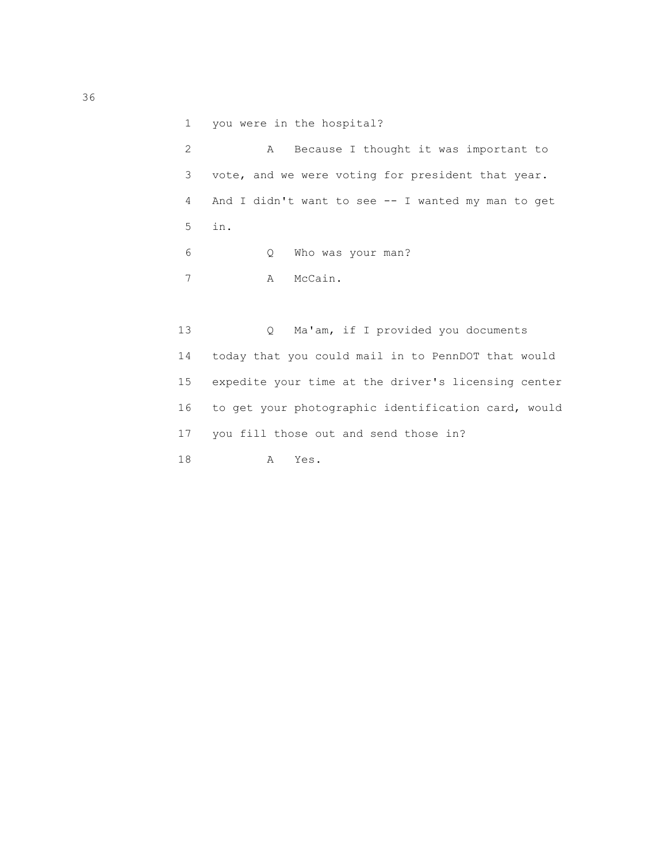1 you were in the hospital? 2 A Because I thought it was important to 3 vote, and we were voting for president that year. 4 And I didn't want to see -- I wanted my man to get 5 in. 6 Q Who was your man? 7 A McCain.

 13 Q Ma'am, if I provided you documents 14 today that you could mail in to PennDOT that would 15 expedite your time at the driver's licensing center 16 to get your photographic identification card, would 17 you fill those out and send those in? 18 A Yes.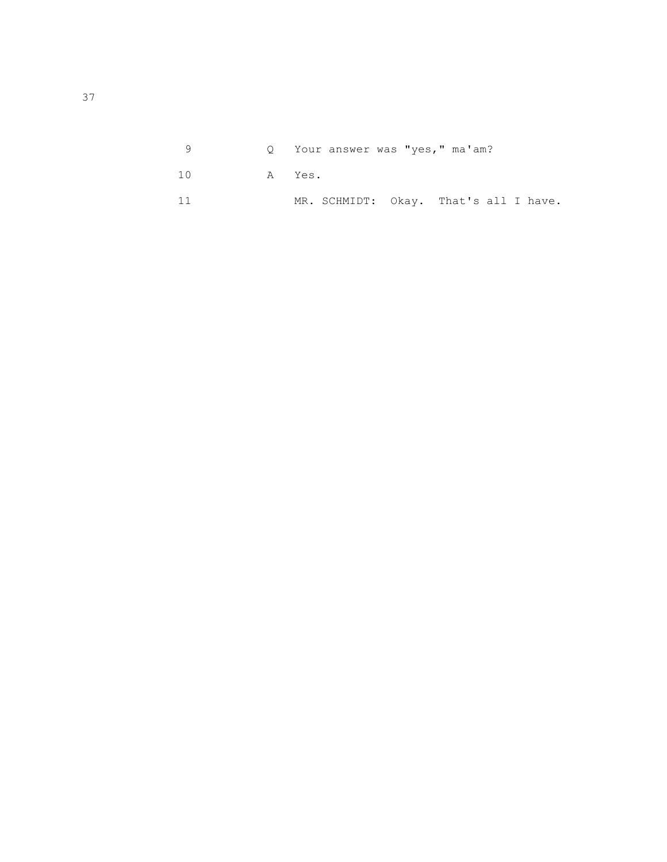|           |  | 0 Your answer was "yes," ma'am?       |  |  |  |
|-----------|--|---------------------------------------|--|--|--|
| 10 A Yes. |  |                                       |  |  |  |
|           |  | MR. SCHMIDT: Okay. That's all I have. |  |  |  |